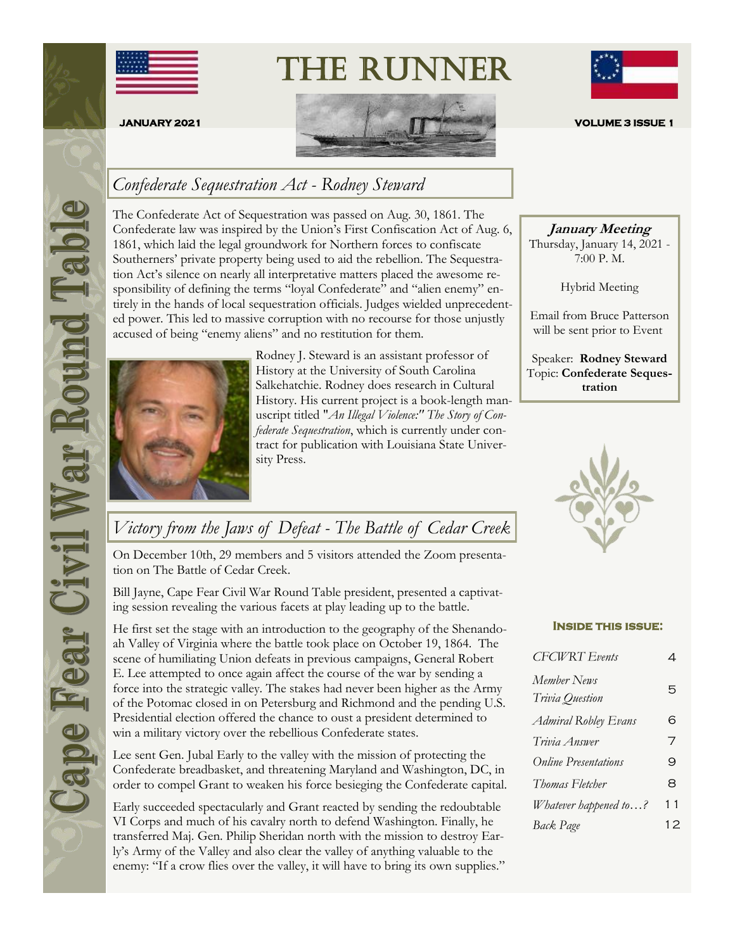

The Runner



## *Confederate Sequestration Act - Rodney Steward*

The Confederate Act of Sequestration was passed on Aug. 30, 1861. The Confederate law was inspired by the Union's First Confiscation Act of Aug. 6, 1861, which laid the legal groundwork for Northern forces to confiscate Southerners' private property being used to aid the rebellion. The Sequestration Act's silence on nearly all interpretative matters placed the awesome responsibility of defining the terms "loyal Confederate" and "alien enemy" entirely in the hands of local sequestration officials. Judges wielded unprecedented power. This led to massive corruption with no recourse for those unjustly accused of being "enemy aliens" and no restitution for them.



Rodney J. Steward is an assistant professor of History at the University of South Carolina Salkehatchie. Rodney does research in Cultural History. His current project is a book-length manuscript titled "*An Illegal Violence:" The Story of Confederate Sequestration*, which is currently under contract for publication with Louisiana State University Press.



**January Meeting** Thursday, January 14, 2021 -

7:00 P. M.

Hybrid Meeting

Email from Bruce Patterson will be sent prior to Event

Speaker: **Rodney Steward** Topic: **Confederate Sequestration**



# *Victory from the Jaws of Defeat - The Battle of Cedar Creek*

On December 10th, 29 members and 5 visitors attended the Zoom presentation on The Battle of Cedar Creek.

Bill Jayne, Cape Fear Civil War Round Table president, presented a captivating session revealing the various facets at play leading up to the battle.

He first set the stage with an introduction to the geography of the Shenandoah Valley of Virginia where the battle took place on October 19, 1864. The scene of humiliating Union defeats in previous campaigns, General Robert E. Lee attempted to once again affect the course of the war by sending a force into the strategic valley. The stakes had never been higher as the Army of the Potomac closed in on Petersburg and Richmond and the pending U.S. Presidential election offered the chance to oust a president determined to win a military victory over the rebellious Confederate states.

Lee sent Gen. Jubal Early to the valley with the mission of protecting the Confederate breadbasket, and threatening Maryland and Washington, DC, in order to compel Grant to weaken his force besieging the Confederate capital.

Early succeeded spectacularly and Grant reacted by sending the redoubtable VI Corps and much of his cavalry north to defend Washington. Finally, he transferred Maj. Gen. Philip Sheridan north with the mission to destroy Early's Army of the Valley and also clear the valley of anything valuable to the enemy: "If a crow flies over the valley, it will have to bring its own supplies."

#### **Inside this issue:**

| <b>CFCWRT</b> Events           | 4  |
|--------------------------------|----|
| Member News<br>Trivia Question | 5  |
| <b>Admiral Robley Evans</b>    | 6  |
| Trivia Answer                  | 7  |
| <b>Online Presentations</b>    | 9  |
| Thomas Fletcher                | 8  |
| Whatever happened to?          | 11 |
| Back Page                      | 12 |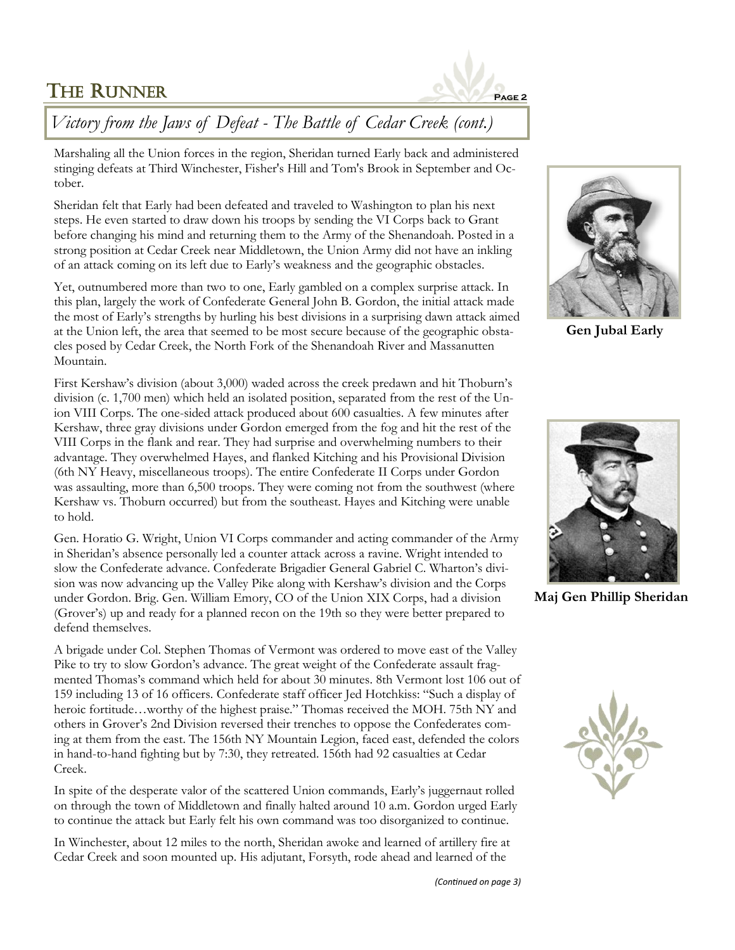

# *Victory from the Jaws of Defeat - The Battle of Cedar Creek (cont.)*

Marshaling all the Union forces in the region, Sheridan turned Early back and administered stinging defeats at Third Winchester, Fisher's Hill and Tom's Brook in September and October.

Sheridan felt that Early had been defeated and traveled to Washington to plan his next steps. He even started to draw down his troops by sending the VI Corps back to Grant before changing his mind and returning them to the Army of the Shenandoah. Posted in a strong position at Cedar Creek near Middletown, the Union Army did not have an inkling of an attack coming on its left due to Early's weakness and the geographic obstacles.

Yet, outnumbered more than two to one, Early gambled on a complex surprise attack. In this plan, largely the work of Confederate General John B. Gordon, the initial attack made the most of Early's strengths by hurling his best divisions in a surprising dawn attack aimed at the Union left, the area that seemed to be most secure because of the geographic obstacles posed by Cedar Creek, the North Fork of the Shenandoah River and Massanutten Mountain.

First Kershaw's division (about 3,000) waded across the creek predawn and hit Thoburn's division (c. 1,700 men) which held an isolated position, separated from the rest of the Union VIII Corps. The one-sided attack produced about 600 casualties. A few minutes after Kershaw, three gray divisions under Gordon emerged from the fog and hit the rest of the VIII Corps in the flank and rear. They had surprise and overwhelming numbers to their advantage. They overwhelmed Hayes, and flanked Kitching and his Provisional Division (6th NY Heavy, miscellaneous troops). The entire Confederate II Corps under Gordon was assaulting, more than 6,500 troops. They were coming not from the southwest (where Kershaw vs. Thoburn occurred) but from the southeast. Hayes and Kitching were unable to hold.

Gen. Horatio G. Wright, Union VI Corps commander and acting commander of the Army in Sheridan's absence personally led a counter attack across a ravine. Wright intended to slow the Confederate advance. Confederate Brigadier General Gabriel C. Wharton's division was now advancing up the Valley Pike along with Kershaw's division and the Corps under Gordon. Brig. Gen. William Emory, CO of the Union XIX Corps, had a division (Grover's) up and ready for a planned recon on the 19th so they were better prepared to defend themselves.

A brigade under Col. Stephen Thomas of Vermont was ordered to move east of the Valley Pike to try to slow Gordon's advance. The great weight of the Confederate assault fragmented Thomas's command which held for about 30 minutes. 8th Vermont lost 106 out of 159 including 13 of 16 officers. Confederate staff officer Jed Hotchkiss: "Such a display of heroic fortitude…worthy of the highest praise." Thomas received the MOH. 75th NY and others in Grover's 2nd Division reversed their trenches to oppose the Confederates coming at them from the east. The 156th NY Mountain Legion, faced east, defended the colors in hand-to-hand fighting but by 7:30, they retreated. 156th had 92 casualties at Cedar Creek.

In spite of the desperate valor of the scattered Union commands, Early's juggernaut rolled on through the town of Middletown and finally halted around 10 a.m. Gordon urged Early to continue the attack but Early felt his own command was too disorganized to continue.

In Winchester, about 12 miles to the north, Sheridan awoke and learned of artillery fire at Cedar Creek and soon mounted up. His adjutant, Forsyth, rode ahead and learned of the



**Gen Jubal Early**



**Maj Gen Phillip Sheridan**

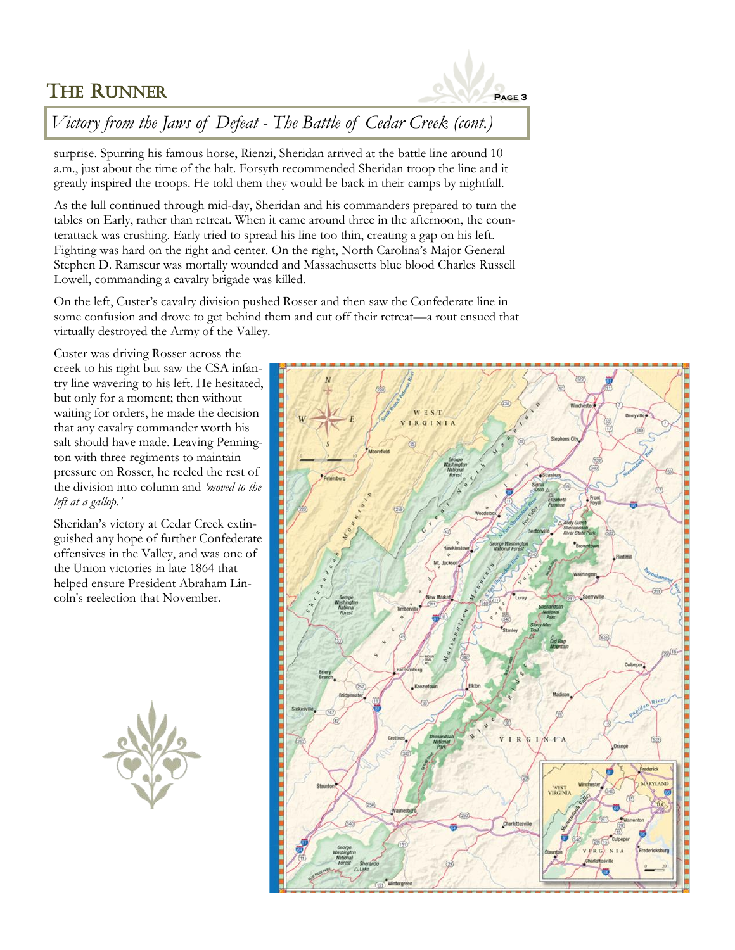

# *Victory from the Jaws of Defeat - The Battle of Cedar Creek (cont.)*

surprise. Spurring his famous horse, Rienzi, Sheridan arrived at the battle line around 10 a.m., just about the time of the halt. Forsyth recommended Sheridan troop the line and it greatly inspired the troops. He told them they would be back in their camps by nightfall.

As the lull continued through mid-day, Sheridan and his commanders prepared to turn the tables on Early, rather than retreat. When it came around three in the afternoon, the counterattack was crushing. Early tried to spread his line too thin, creating a gap on his left. Fighting was hard on the right and center. On the right, North Carolina's Major General Stephen D. Ramseur was mortally wounded and Massachusetts blue blood Charles Russell Lowell, commanding a cavalry brigade was killed.

On the left, Custer's cavalry division pushed Rosser and then saw the Confederate line in some confusion and drove to get behind them and cut off their retreat—a rout ensued that virtually destroyed the Army of the Valley.

Custer was driving Rosser across the creek to his right but saw the CSA infantry line wavering to his left. He hesitated, but only for a moment; then without waiting for orders, he made the decision that any cavalry commander worth his salt should have made. Leaving Pennington with three regiments to maintain pressure on Rosser, he reeled the rest of the division into column and *'moved to the left at a gallop.'* 

Sheridan's victory at Cedar Creek extinguished any hope of further Confederate offensives in the Valley, and was one of the Union victories in late 1864 that helped ensure President Abraham Lincoln's reelection that November.



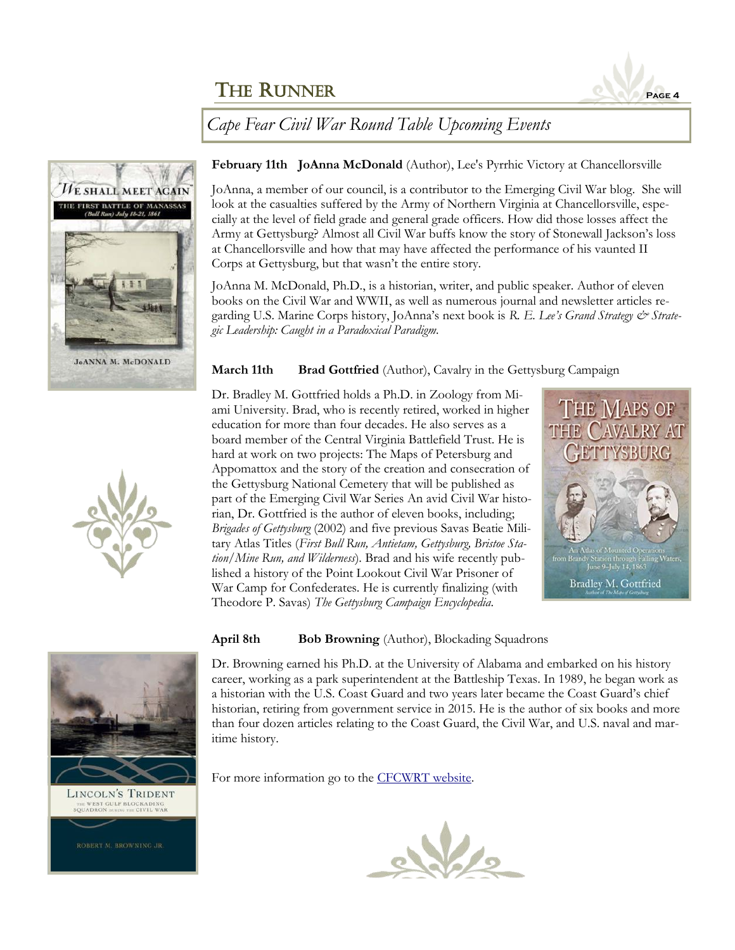

*Cape Fear Civil War Round Table Upcoming Events*



**February 11th JoAnna McDonald** (Author), Lee's Pyrrhic Victory at Chancellorsville

JoAnna, a member of our council, is a contributor to the Emerging Civil War blog. She will look at the casualties suffered by the Army of Northern Virginia at Chancellorsville, especially at the level of field grade and general grade officers. How did those losses affect the Army at Gettysburg? Almost all Civil War buffs know the story of Stonewall Jackson's loss at Chancellorsville and how that may have affected the performance of his vaunted II Corps at Gettysburg, but that wasn't the entire story.

JoAnna M. McDonald, Ph.D., is a historian, writer, and public speaker. Author of eleven books on the Civil War and WWII, as well as numerous journal and newsletter articles regarding U.S. Marine Corps history, JoAnna's next book is *R. E. Lee's Grand Strategy & Strategic Leadership: Caught in a Paradoxical Paradigm.*

### **March 11th Brad Gottfried** (Author), Cavalry in the Gettysburg Campaign

Dr. Bradley M. Gottfried holds a Ph.D. in Zoology from Miami University. Brad, who is recently retired, worked in higher education for more than four decades. He also serves as a board member of the Central Virginia Battlefield Trust. He is hard at work on two projects: The Maps of Petersburg and Appomattox and the story of the creation and consecration of the Gettysburg National Cemetery that will be published as part of the Emerging Civil War Series An avid Civil War historian, Dr. Gottfried is the author of eleven books, including; *Brigades of Gettysburg* (2002) and five previous Savas Beatie Military Atlas Titles (*First Bull Run, Antietam, Gettysburg, Bristoe Station/Mine Run, and Wilderness*). Brad and his wife recently published a history of the Point Lookout Civil War Prisoner of War Camp for Confederates. He is currently finalizing (with Theodore P. Savas) *The Gettysburg Campaign Encyclopedia*.





#### **April 8th Bob Browning** (Author), Blockading Squadrons

Dr. Browning earned his Ph.D. at the University of Alabama and embarked on his history career, working as a park superintendent at the Battleship Texas. In 1989, he began work as a historian with the U.S. Coast Guard and two years later became the Coast Guard's chief historian, retiring from government service in 2015. He is the author of six books and more than four dozen articles relating to the Coast Guard, the Civil War, and U.S. naval and maritime history.

For more information go to the [CFCWRT website.](http://cfcwrt.org/)



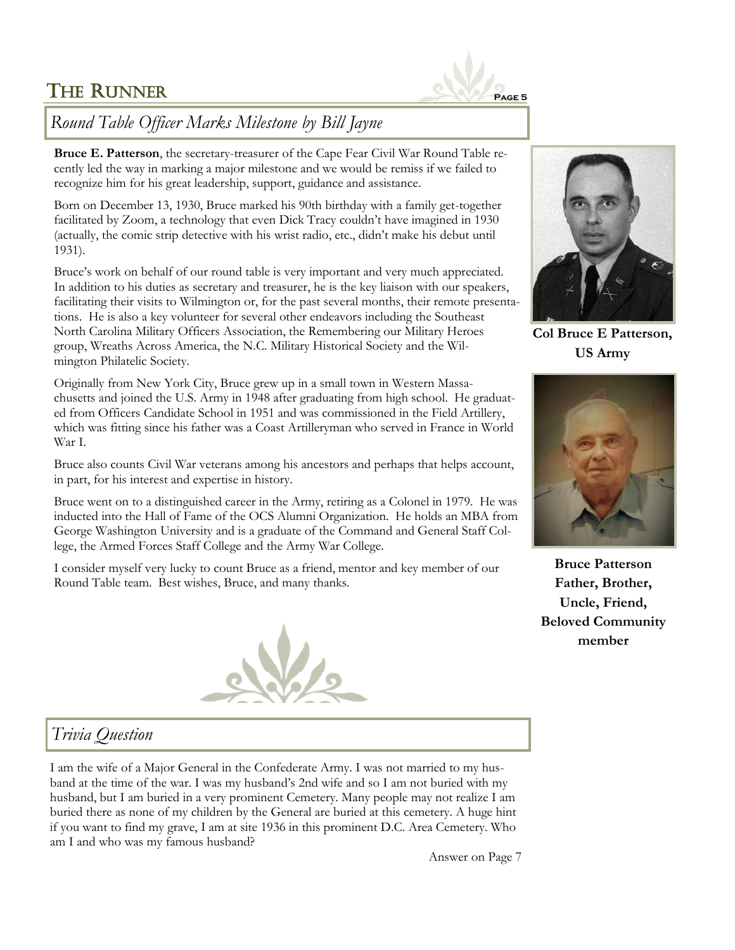

## *Round Table Officer Marks Milestone by Bill Jayne*

**Bruce E. Patterson**, the secretary-treasurer of the Cape Fear Civil War Round Table recently led the way in marking a major milestone and we would be remiss if we failed to recognize him for his great leadership, support, guidance and assistance.

Born on December 13, 1930, Bruce marked his 90th birthday with a family get-together facilitated by Zoom, a technology that even Dick Tracy couldn't have imagined in 1930 (actually, the comic strip detective with his wrist radio, etc., didn't make his debut until 1931).

Bruce's work on behalf of our round table is very important and very much appreciated. In addition to his duties as secretary and treasurer, he is the key liaison with our speakers, facilitating their visits to Wilmington or, for the past several months, their remote presentations. He is also a key volunteer for several other endeavors including the Southeast North Carolina Military Officers Association, the Remembering our Military Heroes group, Wreaths Across America, the N.C. Military Historical Society and the Wilmington Philatelic Society.

Originally from New York City, Bruce grew up in a small town in Western Massachusetts and joined the U.S. Army in 1948 after graduating from high school. He graduated from Officers Candidate School in 1951 and was commissioned in the Field Artillery, which was fitting since his father was a Coast Artilleryman who served in France in World War I.

Bruce also counts Civil War veterans among his ancestors and perhaps that helps account, in part, for his interest and expertise in history.

Bruce went on to a distinguished career in the Army, retiring as a Colonel in 1979. He was inducted into the Hall of Fame of the OCS Alumni Organization. He holds an MBA from George Washington University and is a graduate of the Command and General Staff College, the Armed Forces Staff College and the Army War College.

I consider myself very lucky to count Bruce as a friend, mentor and key member of our Round Table team. Best wishes, Bruce, and many thanks.





**Col Bruce E Patterson, US Army**



**Bruce Patterson Father, Brother, Uncle, Friend, Beloved Community member**

# *Trivia Question*

I am the wife of a Major General in the Confederate Army. I was not married to my husband at the time of the war. I was my husband's 2nd wife and so I am not buried with my husband, but I am buried in a very prominent Cemetery. Many people may not realize I am buried there as none of my children by the General are buried at this cemetery. A huge hint if you want to find my grave, I am at site 1936 in this prominent D.C. Area Cemetery. Who am I and who was my famous husband?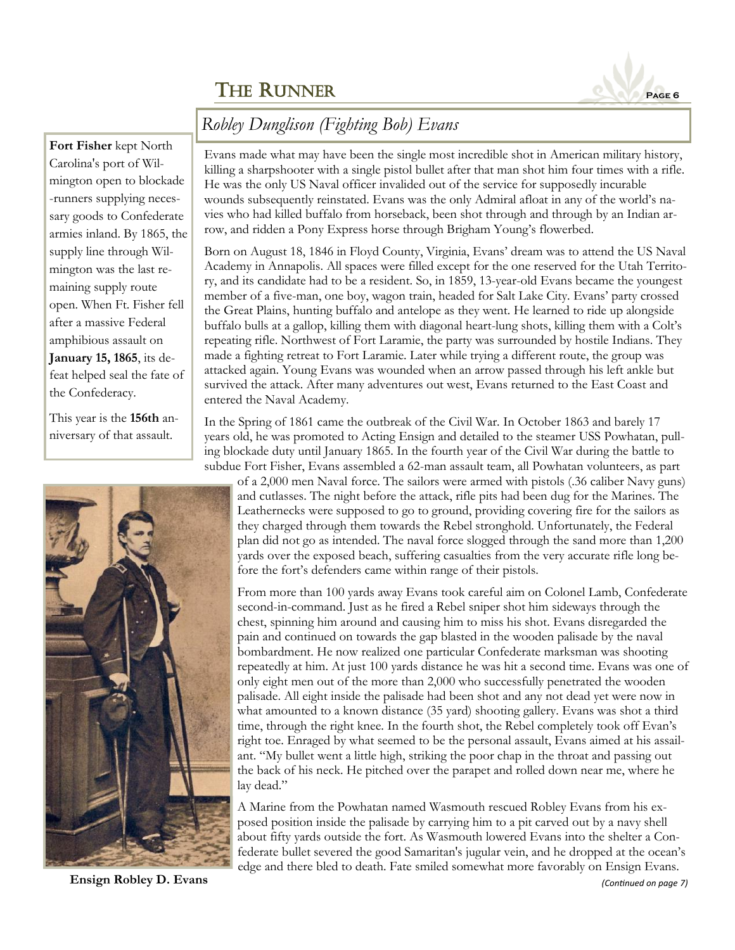

# *Robley Dunglison (Fighting Bob) Evans*

## **Fort Fisher** kept North Carolina's port of Wilmington open to blockade -runners supplying necessary goods to Confederate armies inland. By 1865, the supply line through Wilmington was the last remaining supply route open. When Ft. Fisher fell after a massive Federal amphibious assault on **January 15, 1865**, its defeat helped seal the fate of the Confederacy.

This year is the **156th** anniversary of that assault.



**Ensign Robley D. Evans** *(Continued on page 7)*

Evans made what may have been the single most incredible shot in American military history, killing a sharpshooter with a single pistol bullet after that man shot him four times with a rifle. He was the only US Naval officer invalided out of the service for supposedly incurable wounds subsequently reinstated. Evans was the only Admiral afloat in any of the world's navies who had killed buffalo from horseback, been shot through and through by an Indian arrow, and ridden a Pony Express horse through Brigham Young's flowerbed.

Born on August 18, 1846 in Floyd County, Virginia, Evans' dream was to attend the US Naval Academy in Annapolis. All spaces were filled except for the one reserved for the Utah Territory, and its candidate had to be a resident. So, in 1859, 13-year-old Evans became the youngest member of a five-man, one boy, wagon train, headed for Salt Lake City. Evans' party crossed the Great Plains, hunting buffalo and antelope as they went. He learned to ride up alongside buffalo bulls at a gallop, killing them with diagonal heart-lung shots, killing them with a Colt's repeating rifle. Northwest of Fort Laramie, the party was surrounded by hostile Indians. They made a fighting retreat to Fort Laramie. Later while trying a different route, the group was attacked again. Young Evans was wounded when an arrow passed through his left ankle but survived the attack. After many adventures out west, Evans returned to the East Coast and entered the Naval Academy.

In the Spring of 1861 came the outbreak of the Civil War. In October 1863 and barely 17 years old, he was promoted to Acting Ensign and detailed to the steamer USS Powhatan, pulling blockade duty until January 1865. In the fourth year of the Civil War during the battle to subdue Fort Fisher, Evans assembled a 62-man assault team, all Powhatan volunteers, as part

of a 2,000 men Naval force. The sailors were armed with pistols (.36 caliber Navy guns) and cutlasses. The night before the attack, rifle pits had been dug for the Marines. The Leathernecks were supposed to go to ground, providing covering fire for the sailors as they charged through them towards the Rebel stronghold. Unfortunately, the Federal plan did not go as intended. The naval force slogged through the sand more than 1,200 yards over the exposed beach, suffering casualties from the very accurate rifle long before the fort's defenders came within range of their pistols.

From more than 100 yards away Evans took careful aim on Colonel Lamb, Confederate second-in-command. Just as he fired a Rebel sniper shot him sideways through the chest, spinning him around and causing him to miss his shot. Evans disregarded the pain and continued on towards the gap blasted in the wooden palisade by the naval bombardment. He now realized one particular Confederate marksman was shooting repeatedly at him. At just 100 yards distance he was hit a second time. Evans was one of only eight men out of the more than 2,000 who successfully penetrated the wooden palisade. All eight inside the palisade had been shot and any not dead yet were now in what amounted to a known distance (35 yard) shooting gallery. Evans was shot a third time, through the right knee. In the fourth shot, the Rebel completely took off Evan's right toe. Enraged by what seemed to be the personal assault, Evans aimed at his assailant. "My bullet went a little high, striking the poor chap in the throat and passing out the back of his neck. He pitched over the parapet and rolled down near me, where he lay dead."

A Marine from the Powhatan named Wasmouth rescued Robley Evans from his exposed position inside the palisade by carrying him to a pit carved out by a navy shell about fifty yards outside the fort. As Wasmouth lowered Evans into the shelter a Confederate bullet severed the good Samaritan's jugular vein, and he dropped at the ocean's edge and there bled to death. Fate smiled somewhat more favorably on Ensign Evans.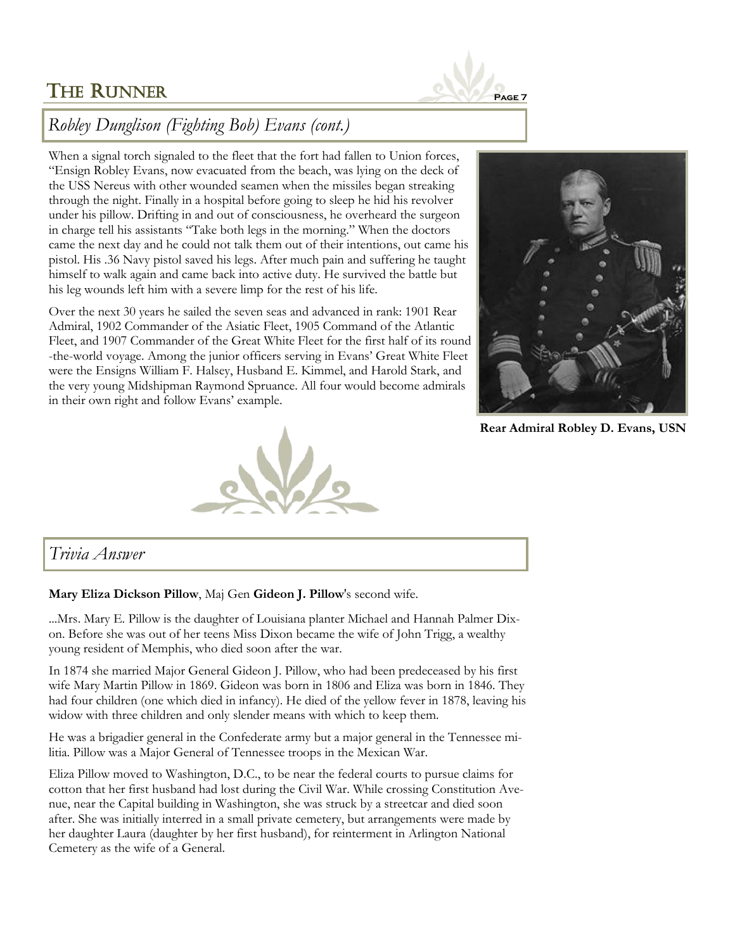

# *Robley Dunglison (Fighting Bob) Evans (cont.)*

When a signal torch signaled to the fleet that the fort had fallen to Union forces, "Ensign Robley Evans, now evacuated from the beach, was lying on the deck of the USS Nereus with other wounded seamen when the missiles began streaking through the night. Finally in a hospital before going to sleep he hid his revolver under his pillow. Drifting in and out of consciousness, he overheard the surgeon in charge tell his assistants "Take both legs in the morning." When the doctors came the next day and he could not talk them out of their intentions, out came his pistol. His .36 Navy pistol saved his legs. After much pain and suffering he taught himself to walk again and came back into active duty. He survived the battle but his leg wounds left him with a severe limp for the rest of his life.

Over the next 30 years he sailed the seven seas and advanced in rank: 1901 Rear Admiral, 1902 Commander of the Asiatic Fleet, 1905 Command of the Atlantic Fleet, and 1907 Commander of the Great White Fleet for the first half of its round -the-world voyage. Among the junior officers serving in Evans' Great White Fleet were the Ensigns William F. Halsey, Husband E. Kimmel, and Harold Stark, and the very young Midshipman Raymond Spruance. All four would become admirals in their own right and follow Evans' example.



**Rear Admiral Robley D. Evans, USN**



## *Trivia Answer*

#### **Mary Eliza Dickson Pillow**, Maj Gen **Gideon J. Pillow**'s second wife.

...Mrs. Mary E. Pillow is the daughter of Louisiana planter Michael and Hannah Palmer Dixon. Before she was out of her teens Miss Dixon became the wife of John Trigg, a wealthy young resident of Memphis, who died soon after the war.

In 1874 she married Major General Gideon J. Pillow, who had been predeceased by his first wife Mary Martin Pillow in 1869. Gideon was born in 1806 and Eliza was born in 1846. They had four children (one which died in infancy). He died of the yellow fever in 1878, leaving his widow with three children and only slender means with which to keep them.

He was a brigadier general in the Confederate army but a major general in the Tennessee militia. Pillow was a Major General of Tennessee troops in the Mexican War.

Eliza Pillow moved to Washington, D.C., to be near the federal courts to pursue claims for cotton that her first husband had lost during the Civil War. While crossing Constitution Avenue, near the Capital building in Washington, she was struck by a streetcar and died soon after. She was initially interred in a small private cemetery, but arrangements were made by her daughter Laura (daughter by her first husband), for reinterment in Arlington National Cemetery as the wife of a General.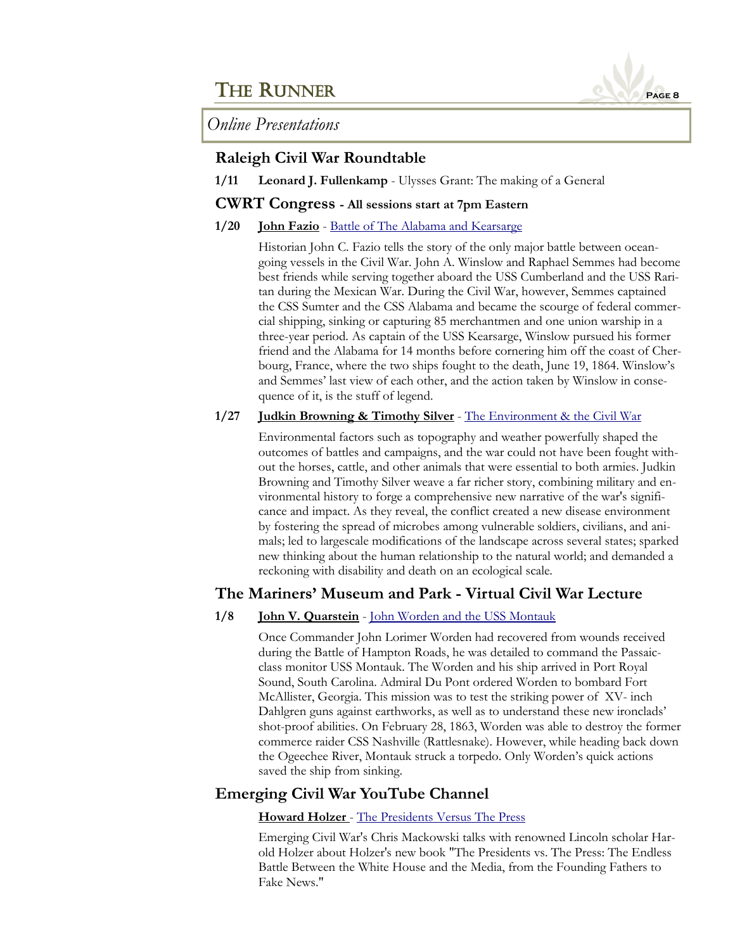

*Online Presentations*

## **Raleigh Civil War Roundtable**

**1/11 Leonard J. Fullenkamp** - Ulysses Grant: The making of a General

## **CWRT Congress - All sessions start at 7pm Eastern**

**1/20 John Fazio** - [Battle of The Alabama and Kearsarge](https://www.cwrtcongress.org/speaker/62-fazio.php)

Historian John C. Fazio tells the story of the only major battle between oceangoing vessels in the Civil War. John A. Winslow and Raphael Semmes had become best friends while serving together aboard the USS Cumberland and the USS Raritan during the Mexican War. During the Civil War, however, Semmes captained the CSS Sumter and the CSS Alabama and became the scourge of federal commercial shipping, sinking or capturing 85 merchantmen and one union warship in a three-year period. As captain of the USS Kearsarge, Winslow pursued his former friend and the Alabama for 14 months before cornering him off the coast of Cherbourg, France, where the two ships fought to the death, June 19, 1864. Winslow's and Semmes' last view of each other, and the action taken by Winslow in consequence of it, is the stuff of legend.

### **1/27 Judkin Browning & Timothy Silver** - [The Environment & the Civil War](https://www.cwrtcongress.org/speaker/66-silver.php)

Environmental factors such as topography and weather powerfully shaped the outcomes of battles and campaigns, and the war could not have been fought without the horses, cattle, and other animals that were essential to both armies. Judkin Browning and Timothy Silver weave a far richer story, combining military and environmental history to forge a comprehensive new narrative of the war's significance and impact. As they reveal, the conflict created a new disease environment by fostering the spread of microbes among vulnerable soldiers, civilians, and animals; led to largescale modifications of the landscape across several states; sparked new thinking about the human relationship to the natural world; and demanded a reckoning with disability and death on an ecological scale.

## **The Mariners' Museum and Park - Virtual Civil War Lecture**

## **1/8 John V. Quarstein** - [John Worden and the USS Montauk](https://marinersmuseum.org/event/john-worden-uss-montauk/)

Once Commander John Lorimer Worden had recovered from wounds received during the Battle of Hampton Roads, he was detailed to command the Passaicclass monitor USS Montauk. The Worden and his ship arrived in Port Royal Sound, South Carolina. Admiral Du Pont ordered Worden to bombard Fort McAllister, Georgia. This mission was to test the striking power of XV- inch Dahlgren guns against earthworks, as well as to understand these new ironclads' shot-proof abilities. On February 28, 1863, Worden was able to destroy the former commerce raider CSS Nashville (Rattlesnake). However, while heading back down the Ogeechee River, Montauk struck a torpedo. Only Worden's quick actions saved the ship from sinking.

## **Emerging Civil War YouTube Channel**

## **Howard Holzer** - [The Presidents Versus The Press](https://www.youtube.com/watch?v=yraPsKNYd_Q)

Emerging Civil War's Chris Mackowski talks with renowned Lincoln scholar Harold Holzer about Holzer's new book "The Presidents vs. The Press: The Endless Battle Between the White House and the Media, from the Founding Fathers to Fake News."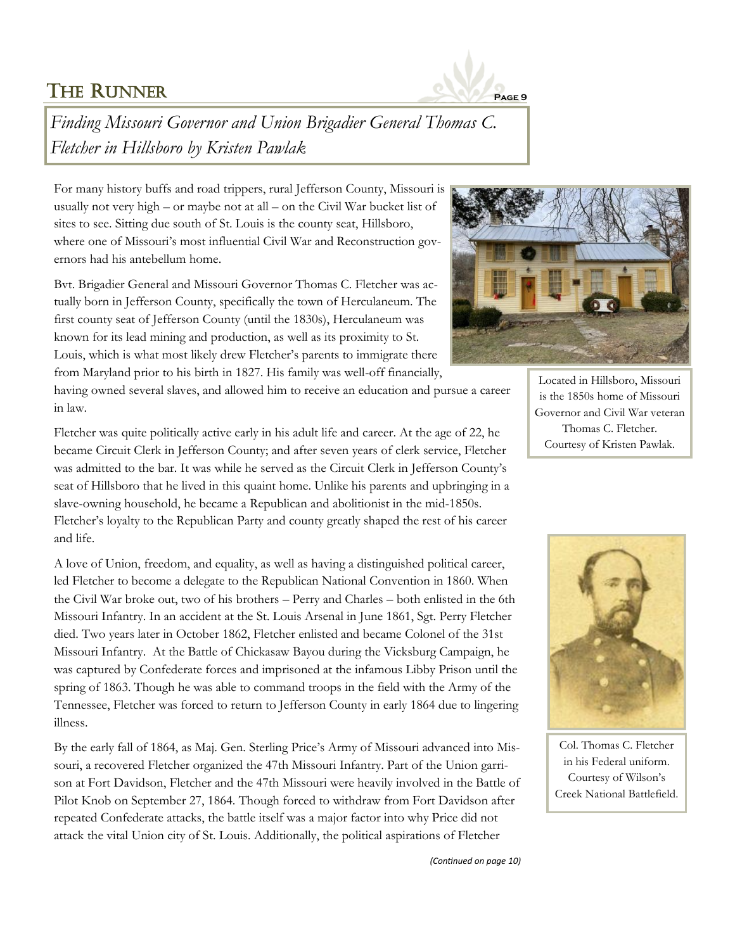

*Finding Missouri Governor and Union Brigadier General Thomas C. Fletcher in Hillsboro by Kristen Pawlak*

For many history buffs and road trippers, rural Jefferson County, Missouri is usually not very high – or maybe not at all – on the Civil War bucket list of sites to see. Sitting due south of St. Louis is the county seat, Hillsboro, where one of Missouri's most influential Civil War and Reconstruction governors had his antebellum home.

Bvt. Brigadier General and Missouri Governor Thomas C. Fletcher was actually born in Jefferson County, specifically the town of Herculaneum. The first county seat of Jefferson County (until the 1830s), Herculaneum was known for its lead mining and production, as well as its proximity to St. Louis, which is what most likely drew Fletcher's parents to immigrate there from Maryland prior to his birth in 1827. His family was well-off financially,

having owned several slaves, and allowed him to receive an education and pursue a career in law.



Located in Hillsboro, Missouri is the 1850s home of Missouri Governor and Civil War veteran Thomas C. Fletcher. Courtesy of Kristen Pawlak.

Fletcher was quite politically active early in his adult life and career. At the age of 22, he became Circuit Clerk in Jefferson County; and after seven years of clerk service, Fletcher was admitted to the bar. It was while he served as the Circuit Clerk in Jefferson County's seat of Hillsboro that he lived in this quaint home. Unlike his parents and upbringing in a slave-owning household, he became a Republican and abolitionist in the mid-1850s. Fletcher's loyalty to the Republican Party and county greatly shaped the rest of his career and life.

A love of Union, freedom, and equality, as well as having a distinguished political career, led Fletcher to become a delegate to the Republican National Convention in 1860. When the Civil War broke out, two of his brothers – Perry and Charles – both enlisted in the 6th Missouri Infantry. In an accident at the St. Louis Arsenal in June 1861, Sgt. Perry Fletcher died. Two years later in October 1862, Fletcher enlisted and became Colonel of the 31st Missouri Infantry. At the Battle of Chickasaw Bayou during the Vicksburg Campaign, he was captured by Confederate forces and imprisoned at the infamous Libby Prison until the spring of 1863. Though he was able to command troops in the field with the Army of the Tennessee, Fletcher was forced to return to Jefferson County in early 1864 due to lingering illness.

By the early fall of 1864, as Maj. Gen. Sterling Price's Army of Missouri advanced into Missouri, a recovered Fletcher organized the 47th Missouri Infantry. Part of the Union garrison at Fort Davidson, Fletcher and the 47th Missouri were heavily involved in the Battle of Pilot Knob on September 27, 1864. Though forced to withdraw from Fort Davidson after repeated Confederate attacks, the battle itself was a major factor into why Price did not attack the vital Union city of St. Louis. Additionally, the political aspirations of Fletcher



Col. Thomas C. Fletcher in his Federal uniform. Courtesy of Wilson's Creek National Battlefield.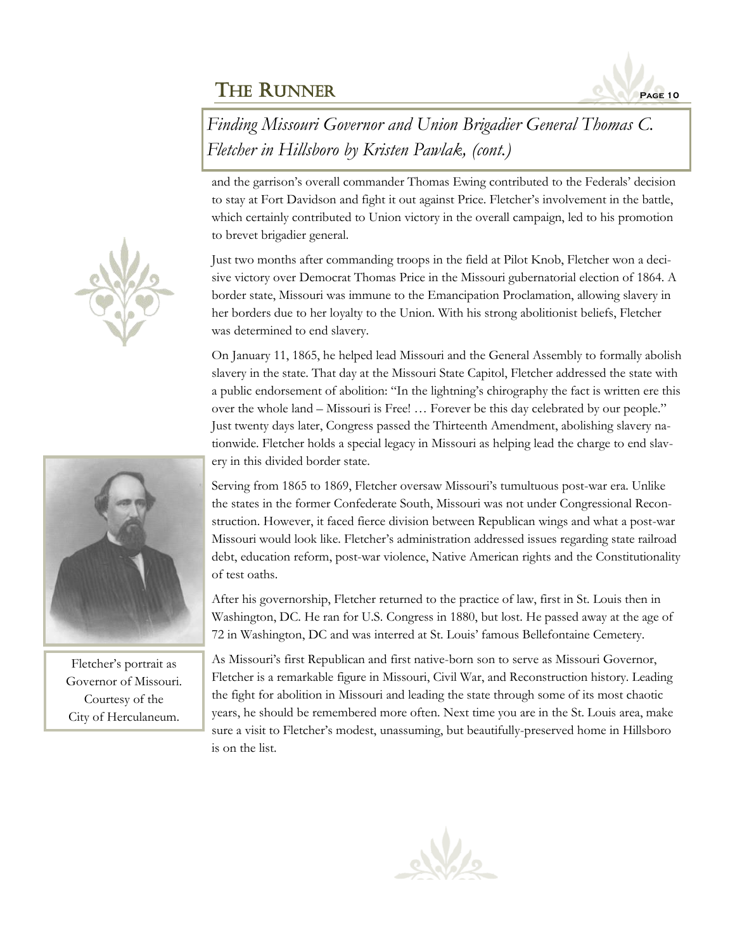

*Finding Missouri Governor and Union Brigadier General Thomas C. Fletcher in Hillsboro by Kristen Pawlak, (cont.)*

and the garrison's overall commander Thomas Ewing contributed to the Federals' decision to stay at Fort Davidson and fight it out against Price. Fletcher's involvement in the battle, which certainly contributed to Union victory in the overall campaign, led to his promotion to brevet brigadier general.

Just two months after commanding troops in the field at Pilot Knob, Fletcher won a decisive victory over Democrat Thomas Price in the Missouri gubernatorial election of 1864. A border state, Missouri was immune to the Emancipation Proclamation, allowing slavery in her borders due to her loyalty to the Union. With his strong abolitionist beliefs, Fletcher was determined to end slavery.

On January 11, 1865, he helped lead Missouri and the General Assembly to formally abolish slavery in the state. That day at the Missouri State Capitol, Fletcher addressed the state with a public endorsement of abolition: "In the lightning's chirography the fact is written ere this over the whole land – Missouri is Free! … Forever be this day celebrated by our people." Just twenty days later, Congress passed the Thirteenth Amendment, abolishing slavery nationwide. Fletcher holds a special legacy in Missouri as helping lead the charge to end slavery in this divided border state.

Serving from 1865 to 1869, Fletcher oversaw Missouri's tumultuous post-war era. Unlike the states in the former Confederate South, Missouri was not under Congressional Reconstruction. However, it faced fierce division between Republican wings and what a post-war Missouri would look like. Fletcher's administration addressed issues regarding state railroad debt, education reform, post-war violence, Native American rights and the Constitutionality of test oaths.

After his governorship, Fletcher returned to the practice of law, first in St. Louis then in Washington, DC. He ran for U.S. Congress in 1880, but lost. He passed away at the age of 72 in Washington, DC and was interred at St. Louis' famous Bellefontaine Cemetery.

As Missouri's first Republican and first native-born son to serve as Missouri Governor, Fletcher is a remarkable figure in Missouri, Civil War, and Reconstruction history. Leading the fight for abolition in Missouri and leading the state through some of its most chaotic years, he should be remembered more often. Next time you are in the St. Louis area, make sure a visit to Fletcher's modest, unassuming, but beautifully-preserved home in Hillsboro is on the list.





Fletcher's portrait as Governor of Missouri. Courtesy of the City of Herculaneum.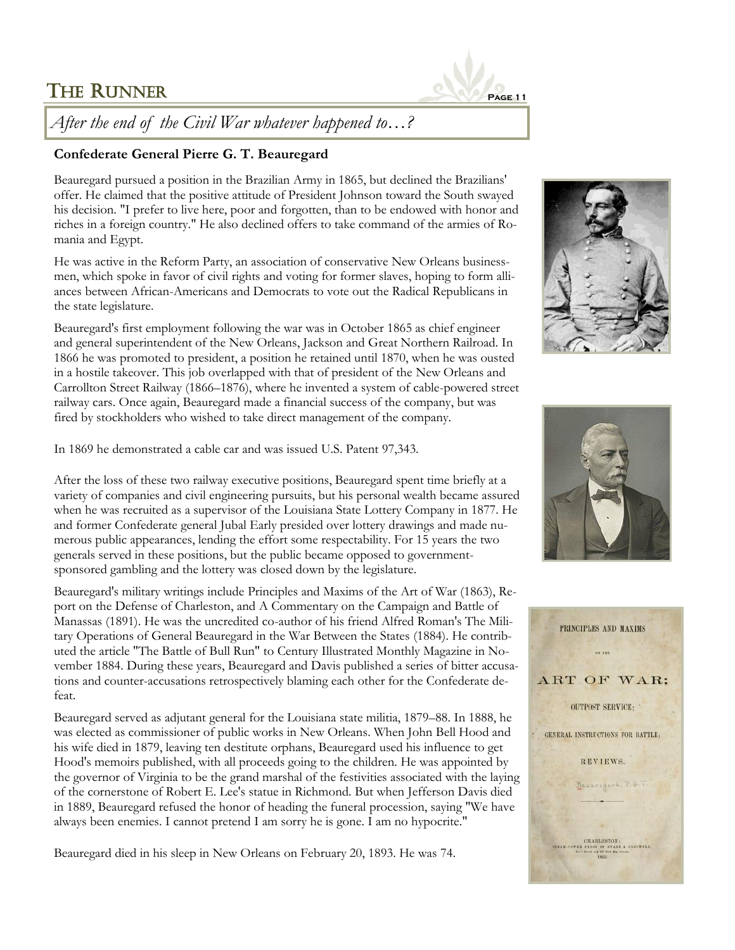

*After the end of the Civil War whatever happened to…?*

## **Confederate General Pierre G. T. Beauregard**

Beauregard pursued a position in the Brazilian Army in 1865, but declined the Brazilians' offer. He claimed that the positive attitude of President Johnson toward the South swayed his decision. "I prefer to live here, poor and forgotten, than to be endowed with honor and riches in a foreign country." He also declined offers to take command of the armies of Romania and Egypt.

He was active in the Reform Party, an association of conservative New Orleans businessmen, which spoke in favor of civil rights and voting for former slaves, hoping to form alliances between African-Americans and Democrats to vote out the Radical Republicans in the state legislature.

Beauregard's first employment following the war was in October 1865 as chief engineer and general superintendent of the [New Orleans, Jackson and Great Northern](https://en.wikipedia.org/wiki/New_Orleans,_Jackson_and_Great_Northern) Railroad. In 1866 he was promoted to president, a position he retained until 1870, when he was ousted in a hostile takeover. This job overlapped with that of president of the New Orleans and [Carrollton Street Railway](https://en.wikipedia.org/wiki/New_Orleans_and_Carrollton_Railroad) (1866–1876), where he invented a system of cable-powered street railway cars. Once again, Beauregard made a financial success of the company, but was fired by stockholders who wished to take direct management of the company.

In 1869 he demonstrated a cable car and was issued U.S. Patent 97,343.

After the loss of these two railway executive positions, Beauregard spent time briefly at a variety of companies and civil engineering pursuits, but his personal wealth became assured when he was recruited as a supervisor of the Louisiana State Lottery Company in 1877. He and former Confederate general Jubal Early presided over lottery drawings and made numerous public appearances, lending the effort some respectability. For 15 years the two generals served in these positions, but the public became opposed to governmentsponsored gambling and the lottery was closed down by the legislature.

Beauregard's military writings include Principles and Maxims of the Art of War (1863), Report on the Defense of Charleston, and A Commentary on the Campaign and Battle of Manassas (1891). He was the uncredited co-author of his friend Alfred Roman's The Military Operations of General Beauregard in the War Between the States (1884). He contributed the article "The Battle of Bull Run" to Century Illustrated Monthly Magazine in November 1884. During these years, Beauregard and Davis published a series of bitter accusations and counter-accusations retrospectively blaming each other for the Confederate defeat.

Beauregard served as [adjutant general](https://en.wikipedia.org/wiki/Adjutant_general) for the Louisiana state militia, 1879–88. In 1888, he was elected as commissioner of public works in New Orleans. When John Bell Hood and his wife died in 1879, leaving ten destitute orphans, Beauregard used his influence to get Hood's memoirs published, with all proceeds going to the children. He was appointed by the governor of Virginia to be the grand marshal of the festivities associated with the laying of the cornerstone of Robert E. Lee's statue in Richmond. But when Jefferson Davis died in 1889, Beauregard refused the honor of heading the funeral procession, saying "We have always been enemies. I cannot pretend I am sorry he is gone. I am no hypocrite."

Beauregard died in his sleep in New Orleans on February 20, 1893. He was 74.